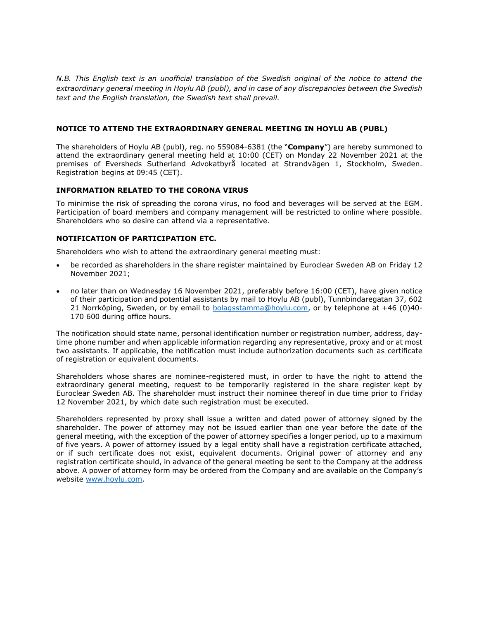*N.B. This English text is an unofficial translation of the Swedish original of the notice to attend the extraordinary general meeting in Hoylu AB (publ), and in case of any discrepancies between the Swedish text and the English translation, the Swedish text shall prevail.* 

### **NOTICE TO ATTEND THE EXTRAORDINARY GENERAL MEETING IN HOYLU AB (PUBL)**

The shareholders of Hoylu AB (publ), reg. no 559084-6381 (the "**Company**") are hereby summoned to attend the extraordinary general meeting held at 10:00 (CET) on Monday 22 November 2021 at the premises of Eversheds Sutherland Advokatbyrå located at Strandvägen 1, Stockholm, Sweden. Registration begins at 09:45 (CET).

### **INFORMATION RELATED TO THE CORONA VIRUS**

To minimise the risk of spreading the corona virus, no food and beverages will be served at the EGM. Participation of board members and company management will be restricted to online where possible. Shareholders who so desire can attend via a representative.

## **NOTIFICATION OF PARTICIPATION ETC.**

Shareholders who wish to attend the extraordinary general meeting must:

- be recorded as shareholders in the share register maintained by Euroclear Sweden AB on Friday 12 November 2021;
- no later than on Wednesday 16 November 2021, preferably before 16:00 (CET), have given notice of their participation and potential assistants by mail to Hoylu AB (publ), Tunnbindaregatan 37, 602 21 Norrköping, Sweden, or by email to [bolagsstamma@hoylu.com,](mailto:bolagsstamma@hoylu.com) or by telephone at +46 (0)40- 170 600 during office hours.

The notification should state name, personal identification number or registration number, address, daytime phone number and when applicable information regarding any representative, proxy and or at most two assistants. If applicable, the notification must include authorization documents such as certificate of registration or equivalent documents.

Shareholders whose shares are nominee-registered must, in order to have the right to attend the extraordinary general meeting, request to be temporarily registered in the share register kept by Euroclear Sweden AB. The shareholder must instruct their nominee thereof in due time prior to Friday 12 November 2021, by which date such registration must be executed.

Shareholders represented by proxy shall issue a written and dated power of attorney signed by the shareholder. The power of attorney may not be issued earlier than one year before the date of the general meeting, with the exception of the power of attorney specifies a longer period, up to a maximum of five years. A power of attorney issued by a legal entity shall have a registration certificate attached, or if such certificate does not exist, equivalent documents. Original power of attorney and any registration certificate should, in advance of the general meeting be sent to the Company at the address above. A power of attorney form may be ordered from the Company and are available on the Company's website [www.hoylu.com.](http://www.hoylu.com/)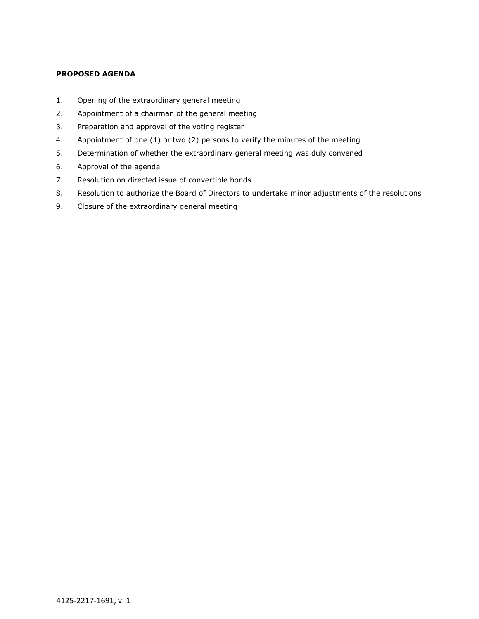# **PROPOSED AGENDA**

- 1. Opening of the extraordinary general meeting
- 2. Appointment of a chairman of the general meeting
- 3. Preparation and approval of the voting register
- 4. Appointment of one (1) or two (2) persons to verify the minutes of the meeting
- 5. Determination of whether the extraordinary general meeting was duly convened
- 6. Approval of the agenda
- 7. Resolution on directed issue of convertible bonds
- 8. Resolution to authorize the Board of Directors to undertake minor adjustments of the resolutions
- 9. Closure of the extraordinary general meeting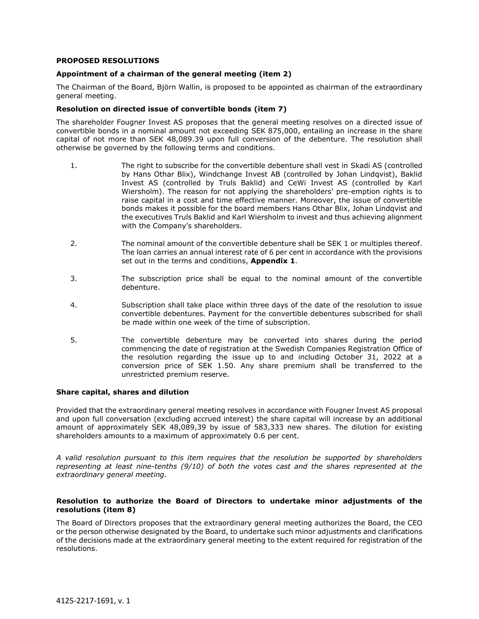#### **PROPOSED RESOLUTIONS**

### **Appointment of a chairman of the general meeting (item 2)**

The Chairman of the Board, Björn Wallin, is proposed to be appointed as chairman of the extraordinary general meeting.

#### **Resolution on directed issue of convertible bonds (item 7)**

The shareholder Fougner Invest AS proposes that the general meeting resolves on a directed issue of convertible bonds in a nominal amount not exceeding SEK 875,000, entailing an increase in the share capital of not more than SEK 48,089.39 upon full conversion of the debenture. The resolution shall otherwise be governed by the following terms and conditions.

- 1. The right to subscribe for the convertible debenture shall vest in Skadi AS (controlled by Hans Othar Blix), Windchange Invest AB (controlled by Johan Lindqvist), Baklid Invest AS (controlled by Truls Baklid) and CeWi Invest AS (controlled by Karl Wiersholm). The reason for not applying the shareholders' pre-emption rights is to raise capital in a cost and time effective manner. Moreover, the issue of convertible bonds makes it possible for the board members Hans Othar Blix, Johan Lindqvist and the executives Truls Baklid and Karl Wiersholm to invest and thus achieving alignment with the Company's shareholders.
- 2. The nominal amount of the convertible debenture shall be SEK 1 or multiples thereof. The loan carries an annual interest rate of 6 per cent in accordance with the provisions set out in the terms and conditions, **Appendix 1**.
- 3. The subscription price shall be equal to the nominal amount of the convertible debenture.
- 4. Subscription shall take place within three days of the date of the resolution to issue convertible debentures. Payment for the convertible debentures subscribed for shall be made within one week of the time of subscription.
- 5. The convertible debenture may be converted into shares during the period commencing the date of registration at the Swedish Companies Registration Office of the resolution regarding the issue up to and including October 31, 2022 at a conversion price of SEK 1.50. Any share premium shall be transferred to the unrestricted premium reserve.

### **Share capital, shares and dilution**

Provided that the extraordinary general meeting resolves in accordance with Fougner Invest AS proposal and upon full conversation (excluding accrued interest) the share capital will increase by an additional amount of approximately SEK 48,089,39 by issue of 583,333 new shares. The dilution for existing shareholders amounts to a maximum of approximately 0.6 per cent.

*A valid resolution pursuant to this item requires that the resolution be supported by shareholders representing at least nine-tenths (9/10) of both the votes cast and the shares represented at the extraordinary general meeting.*

### **Resolution to authorize the Board of Directors to undertake minor adjustments of the resolutions (item 8)**

The Board of Directors proposes that the extraordinary general meeting authorizes the Board, the CEO or the person otherwise designated by the Board, to undertake such minor adjustments and clarifications of the decisions made at the extraordinary general meeting to the extent required for registration of the resolutions.